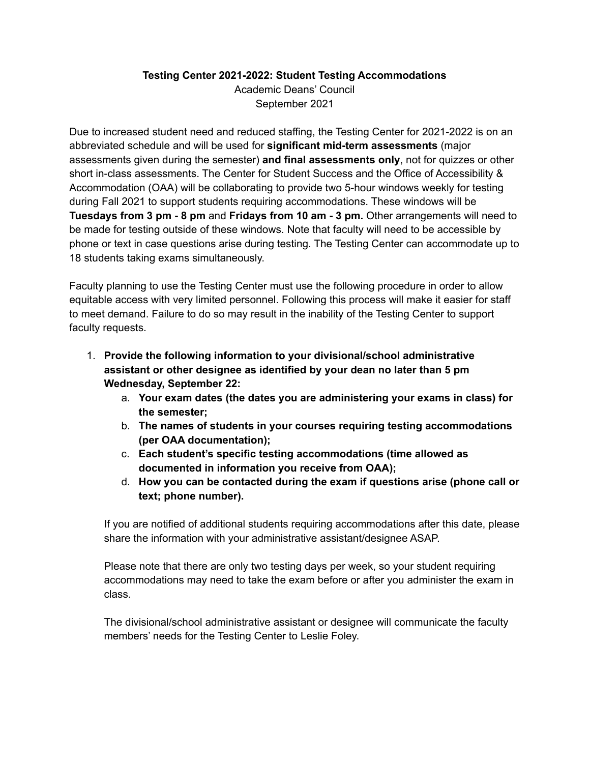## **Testing Center 2021-2022: Student Testing Accommodations** Academic Deans' Council September 2021

Due to increased student need and reduced staffing, the Testing Center for 2021-2022 is on an abbreviated schedule and will be used for **significant mid-term assessments** (major assessments given during the semester) **and final assessments only**, not for quizzes or other short in-class assessments. The Center for Student Success and the Office of Accessibility & Accommodation (OAA) will be collaborating to provide two 5-hour windows weekly for testing during Fall 2021 to support students requiring accommodations. These windows will be **Tuesdays from 3 pm - 8 pm** and **Fridays from 10 am - 3 pm.** Other arrangements will need to be made for testing outside of these windows. Note that faculty will need to be accessible by phone or text in case questions arise during testing. The Testing Center can accommodate up to 18 students taking exams simultaneously.

Faculty planning to use the Testing Center must use the following procedure in order to allow equitable access with very limited personnel. Following this process will make it easier for staff to meet demand. Failure to do so may result in the inability of the Testing Center to support faculty requests.

- 1. **Provide the following information to your divisional/school administrative assistant or other designee as identified by your dean no later than 5 pm Wednesday, September 22:**
	- a. **Your exam dates (the dates you are administering your exams in class) for the semester;**
	- b. **The names of students in your courses requiring testing accommodations (per OAA documentation);**
	- c. **Each student's specific testing accommodations (time allowed as documented in information you receive from OAA);**
	- d. **How you can be contacted during the exam if questions arise (phone call or text; phone number).**

If you are notified of additional students requiring accommodations after this date, please share the information with your administrative assistant/designee ASAP.

Please note that there are only two testing days per week, so your student requiring accommodations may need to take the exam before or after you administer the exam in class.

The divisional/school administrative assistant or designee will communicate the faculty members' needs for the Testing Center to Leslie Foley.